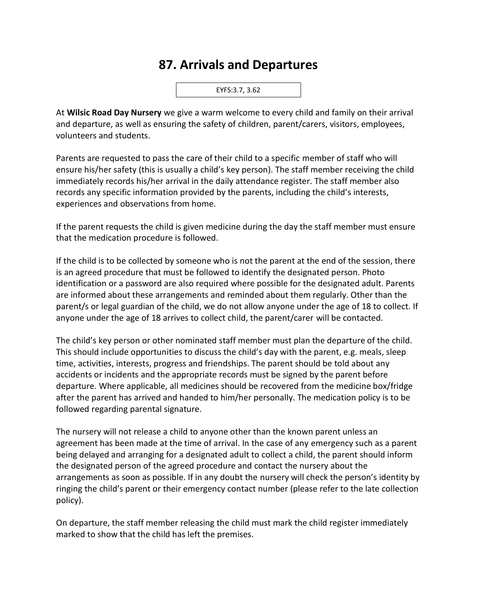## **87. Arrivals and Departures**



At **Wilsic Road Day Nursery** we give a warm welcome to every child and family on their arrival and departure, as well as ensuring the safety of children, parent/carers, visitors, employees, volunteers and students.

Parents are requested to pass the care of their child to a specific member of staff who will ensure his/her safety (this is usually a child's key person). The staff member receiving the child immediately records his/her arrival in the daily attendance register. The staff member also records any specific information provided by the parents, including the child's interests, experiences and observations from home.

If the parent requests the child is given medicine during the day the staff member must ensure that the medication procedure is followed.

If the child is to be collected by someone who is not the parent at the end of the session, there is an agreed procedure that must be followed to identify the designated person. Photo identification or a password are also required where possible for the designated adult. Parents are informed about these arrangements and reminded about them regularly. Other than the parent/s or legal guardian of the child, we do not allow anyone under the age of 18 to collect. If anyone under the age of 18 arrives to collect child, the parent/carer will be contacted.

The child's key person or other nominated staff member must plan the departure of the child. This should include opportunities to discuss the child's day with the parent, e.g. meals, sleep time, activities, interests, progress and friendships. The parent should be told about any accidents or incidents and the appropriate records must be signed by the parent before departure. Where applicable, all medicines should be recovered from the medicine box/fridge after the parent has arrived and handed to him/her personally. The medication policy is to be followed regarding parental signature.

The nursery will not release a child to anyone other than the known parent unless an agreement has been made at the time of arrival. In the case of any emergency such as a parent being delayed and arranging for a designated adult to collect a child, the parent should inform the designated person of the agreed procedure and contact the nursery about the arrangements as soon as possible. If in any doubt the nursery will check the person's identity by ringing the child's parent or their emergency contact number (please refer to the late collection policy).

On departure, the staff member releasing the child must mark the child register immediately marked to show that the child has left the premises.